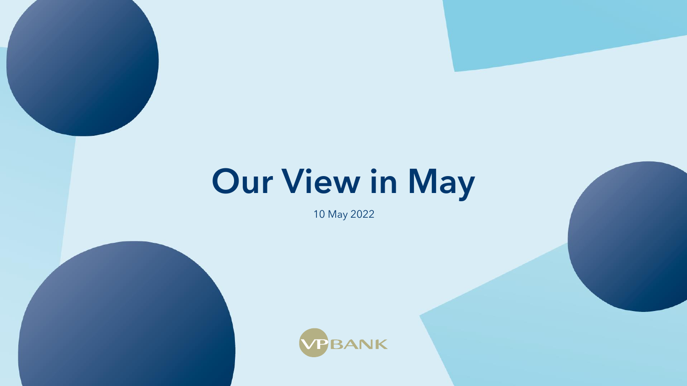# Our View in May

10 May 2022



Our View in May 2022 1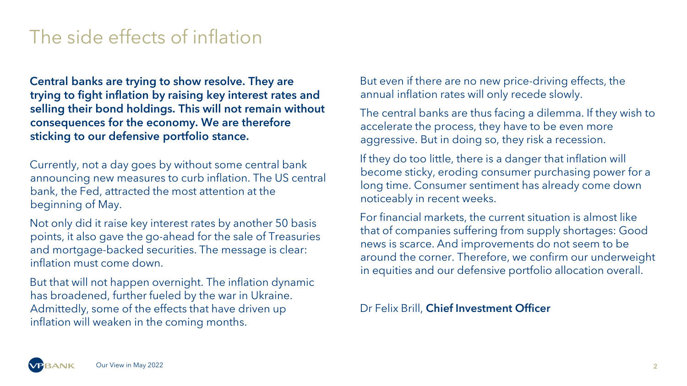# The side effects of inflation

Central banks are trying to show resolve. They are trying to fight inflation by raising key interest rates and selling their bond holdings. This will not remain without consequences for the economy. We are therefore sticking to our defensive portfolio stance.

Currently, not a day goes by without some central bank announcing new measures to curb inflation. The US central bank, the Fed, attracted the most attention at the beginning of May.

Not only did it raise key interest rates by another 50 basis points, it also gave the go-ahead for the sale of Treasuries and mortgage-backed securities. The message is clear: inflation must come down.

But that will not happen overnight. The inflation dynamic has broadened, further fueled by the war in Ukraine. Admittedly, some of the effects that have driven up inflation will weaken in the coming months.

But even if there are no new price-driving effects, the annual inflation rates will only recede slowly.

The central banks are thus facing a dilemma. If they wish to accelerate the process, they have to be even more aggressive. But in doing so, they risk a recession.

If they do too little, there is a danger that inflation will become sticky, eroding consumer purchasing power for a long time. Consumer sentiment has already come down noticeably in recent weeks.

For financial markets, the current situation is almost like that of companies suffering from supply shortages: Good news is scarce. And improvements do not seem to be around the corner. Therefore, we confirm our underweight in equities and our defensive portfolio allocation overall.

Dr Felix Brill, Chief Investment Officer

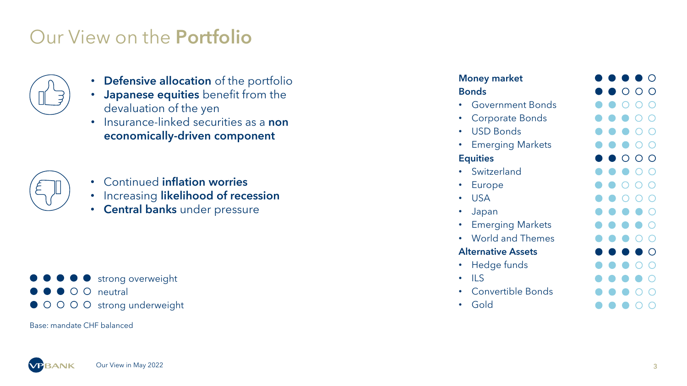### Our View on the Portfolio



- Defensive allocation of the portfolio
- Japanese equities benefit from the devaluation of the yen
- Insurance-linked securities as a non economically -driven component



- Continued inflation worries
- Increasing likelihood of recession
- Central banks under pressure



Base: mandate CHF balanced

#### Money market **Bonds**

- Government Bonds
- Corporate Bonds
- USD Bonds
- Emerging Markets

#### **Equities**

- Switzerland
- Europe
- USA
- Japan
- Emerging Markets
- World and Themes

#### Alternative Assets

- Hedge funds
- $\cdot$  ILS
- Convertible Bonds
- Gold

| o di           | a a       | D              | o a                   | O                     |
|----------------|-----------|----------------|-----------------------|-----------------------|
|                | O         | О              | О                     | Ο                     |
| $\bullet$      | $\bullet$ | Ο              | Ο                     | $\overline{\bigcirc}$ |
| $\bullet$      | $\bullet$ | $\bullet$      | $\overline{\bigcirc}$ | ◯                     |
| $\bullet$      | O         | $\bullet$      | O                     | О                     |
| $\bullet$      | $\bullet$ | $\bullet$      | О                     | О                     |
| O              | O         | Ο              | O                     | О                     |
| O              | A         | O              | Ō                     | O                     |
| o              | $\bullet$ | ◯              | ∩                     | ∩                     |
| o              | œ         | ∩              | ∩                     | ∩                     |
| œ              | œ         | o              | o                     | O                     |
| œ              | œ         | o              | œ                     | O                     |
| $\blacksquare$ | œ         | $\blacksquare$ | ∩                     | О                     |
| œ              | œ         | O              | O                     | Ο                     |
| $\bullet$      | $\bullet$ | œ              | ○                     | $\overline{\bigcirc}$ |
| $\bullet$      | œ         | $\blacksquare$ | $\bullet$             | ∩                     |
|                |           |                | ∩                     | ∩                     |
| œ              | œ         | m              | ∩                     | ∩                     |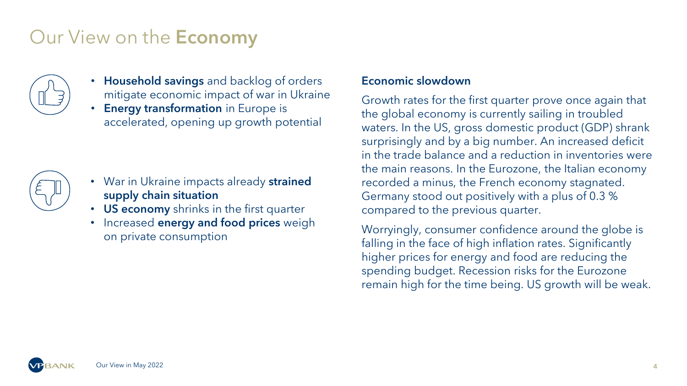# Our View on the Economy



- Household savings and backlog of orders mitigate economic impact of war in Ukraine
- Energy transformation in Europe is accelerated, opening up growth potential



- War in Ukraine impacts already strained supply chain situation
- US economy shrinks in the first quarter
- Increased **energy and food prices** weigh on private consumption

### Economic slowdown

Growth rates for the first quarter prove once again that the global economy is currently sailing in troubled waters. In the US, gross domestic product (GDP) shrank surprisingly and by a big number. An increased deficit in the trade balance and a reduction in inventories were the main reasons. In the Eurozone, the Italian economy recorded a minus, the French economy stagnated. Germany stood out positively with a plus of 0.3 % compared to the previous quarter.

Worryingly, consumer confidence around the globe is falling in the face of high inflation rates. Significantly higher prices for energy and food are reducing the spending budget. Recession risks for the Eurozone remain high for the time being. US growth will be weak.

Our View in May 2022 4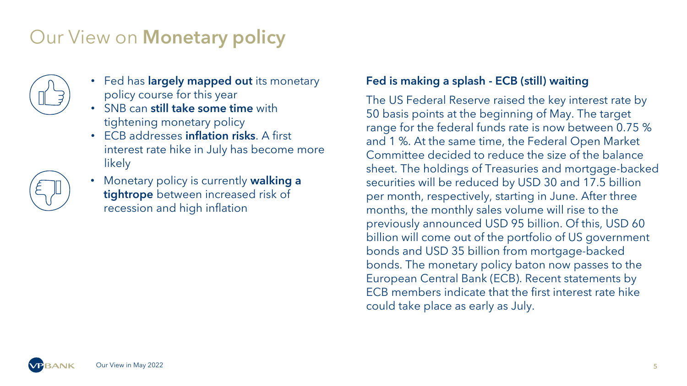# Our View on **Monetary policy**



- Fed has **largely mapped out** its monetary policy course for this year
- SNB can still take some time with tightening monetary policy
- ECB addresses inflation risks. A first interest rate hike in July has become more likely
- **Monetary policy is currently walking a** tightrope between increased risk of recession and high inflation

### Fed is making a splash - ECB (still) waiting

The US Federal Reserve raised the key interest rate by 50 basis points at the beginning of May. The target range for the federal funds rate is now between 0.75 % and 1 %. At the same time, the Federal Open Market Committee decided to reduce the size of the balance sheet. The holdings of Treasuries and mortgage-backed securities will be reduced by USD 30 and 17.5 billion per month, respectively, starting in June. After three months, the monthly sales volume will rise to the previously announced USD 95 billion. Of this, USD 60 billion will come out of the portfolio of US government bonds and USD 35 billion from mortgage-backed bonds. The monetary policy baton now passes to the European Central Bank (ECB). Recent statements by ECB members indicate that the first interest rate hike could take place as early as July.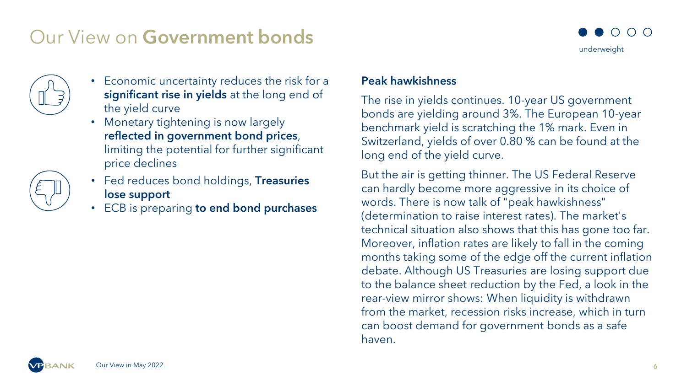## Our View on Government bonds





- Economic uncertainty reduces the risk for a significant rise in yields at the long end of the yield curve
- Monetary tightening is now largely reflected in government bond prices, limiting the potential for further significant price declines
- Fed reduces bond holdings, Treasuries lose support
- ECB is preparing to end bond purchases

### Peak hawkishness

The rise in yields continues. 10-year US government bonds are yielding around 3%. The European 10-year benchmark yield is scratching the 1% mark. Even in Switzerland, yields of over 0.80 % can be found at the long end of the yield curve.

But the air is getting thinner. The US Federal Reserve can hardly become more aggressive in its choice of words. There is now talk of "peak hawkishness" (determination to raise interest rates). The market's technical situation also shows that this has gone too far. Moreover, inflation rates are likely to fall in the coming months taking some of the edge off the current inflation debate. Although US Treasuries are losing support due to the balance sheet reduction by the Fed, a look in the rear-view mirror shows: When liquidity is withdrawn from the market, recession risks increase, which in turn can boost demand for government bonds as a safe haven.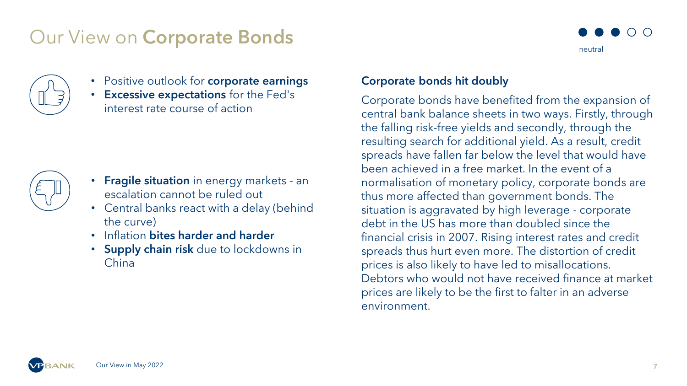### Our View on Corporate Bonds





- Positive outlook for **corporate earnings**
- Excessive expectations for the Fed's interest rate course of action



- Fragile situation in energy markets an escalation cannot be ruled out
- Central banks react with a delay (behind the curve)
- Inflation bites harder and harder
- Supply chain risk due to lockdowns in China

### Corporate bonds hit doubly

Corporate bonds have benefited from the expansion of central bank balance sheets in two ways. Firstly, through the falling risk-free yields and secondly, through the resulting search for additional yield. As a result, credit spreads have fallen far below the level that would have been achieved in a free market. In the event of a normalisation of monetary policy, corporate bonds are thus more affected than government bonds. The situation is aggravated by high leverage - corporate debt in the US has more than doubled since the financial crisis in 2007. Rising interest rates and credit spreads thus hurt even more. The distortion of credit prices is also likely to have led to misallocations. Debtors who would not have received finance at market prices are likely to be the first to falter in an adverse environment.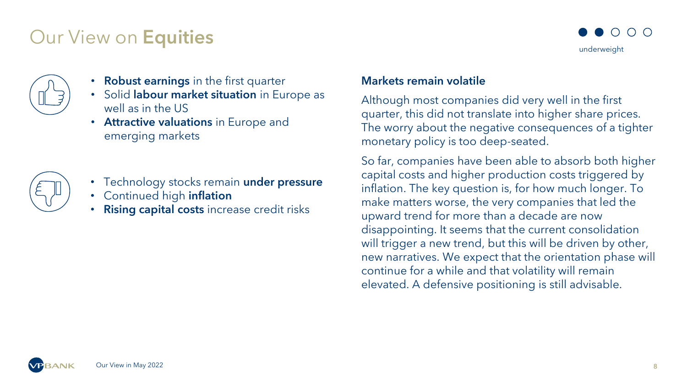### Our View on Equities





- Robust earnings in the first quarter
- Solid labour market situation in Europe as well as in the US
- Attractive valuations in Europe and emerging markets



- Technology stocks remain under pressure
- Continued high **inflation**
- Rising capital costs increase credit risks

#### Markets remain volatile

Although most companies did very well in the first quarter, this did not translate into higher share prices. The worry about the negative consequences of a tighter monetary policy is too deep-seated.

So far, companies have been able to absorb both higher capital costs and higher production costs triggered by inflation. The key question is, for how much longer. To make matters worse, the very companies that led the upward trend for more than a decade are now disappointing. It seems that the current consolidation will trigger a new trend, but this will be driven by other, new narratives. We expect that the orientation phase will continue for a while and that volatility will remain elevated. A defensive positioning is still advisable.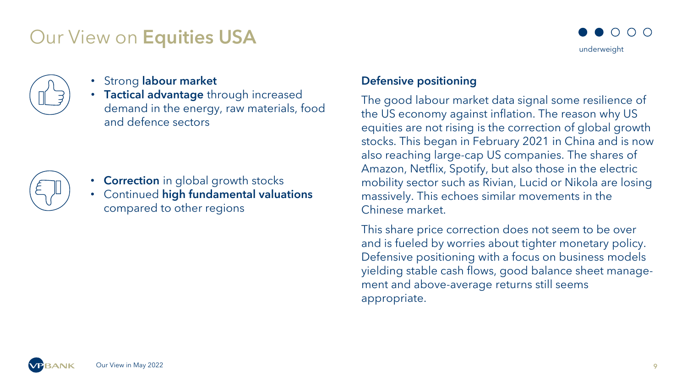### Our View on Equities USA





- Strong labour market
- Tactical advantage through increased demand in the energy, raw materials, food and defence sectors



- Correction in global growth stocks
- Continued high fundamental valuations compared to other regions

#### Defensive positioning

The good labour market data signal some resilience of the US economy against inflation. The reason why US equities are not rising is the correction of global growth stocks. This began in February 2021 in China and is now also reaching large-cap US companies. The shares of Amazon, Netflix, Spotify, but also those in the electric mobility sector such as Rivian, Lucid or Nikola are losing massively. This echoes similar movements in the Chinese market.

This share price correction does not seem to be over and is fueled by worries about tighter monetary policy. Defensive positioning with a focus on business models yielding stable cash flows, good balance sheet management and above-average returns still seems appropriate.

Our View in May 2022 9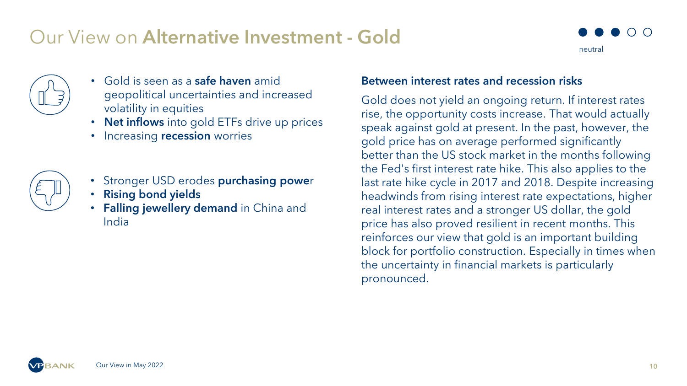### Our View on Alternative Investment - Gold





- Gold is seen as a **safe haven** amid geopolitical uncertainties and increased volatility in equities
- Net inflows into gold ETFs drive up prices
- Increasing recession worries



- Stronger USD erodes purchasing power
- Rising bond yields
- Falling jewellery demand in China and India

#### Between interest rates and recession risks

Gold does not yield an ongoing return. If interest rates rise, the opportunity costs increase. That would actually speak against gold at present. In the past, however, the gold price has on average performed significantly better than the US stock market in the months following the Fed's first interest rate hike. This also applies to the last rate hike cycle in 2017 and 2018. Despite increasing headwinds from rising interest rate expectations, higher real interest rates and a stronger US dollar, the gold price has also proved resilient in recent months. This reinforces our view that gold is an important building block for portfolio construction. Especially in times when the uncertainty in financial markets is particularly pronounced.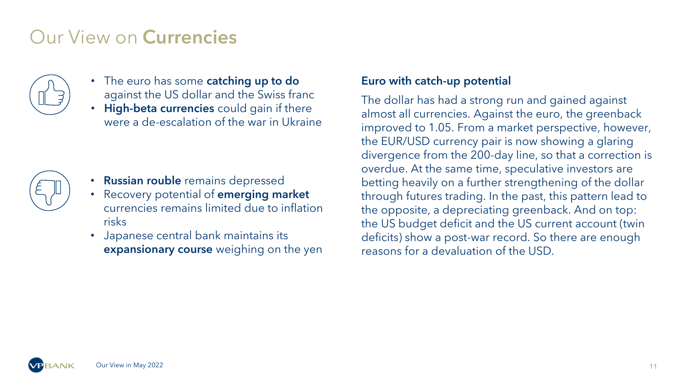## Our View on Currencies



- The euro has some **catching up to do** against the US dollar and the Swiss franc
- High-beta currencies could gain if there were a de-escalation of the war in Ukraine



- Russian rouble remains depressed
- Recovery potential of **emerging market** currencies remains limited due to inflation risks
- Japanese central bank maintains its **expansionary course** weighing on the yen

#### Euro with catch-up potential

The dollar has had a strong run and gained against almost all currencies. Against the euro, the greenback improved to 1.05. From a market perspective, however, the EUR/USD currency pair is now showing a glaring divergence from the 200-day line, so that a correction is overdue. At the same time, speculative investors are betting heavily on a further strengthening of the dollar through futures trading. In the past, this pattern lead to the opposite, a depreciating greenback. And on top: the US budget deficit and the US current account (twin deficits) show a post-war record. So there are enough reasons for a devaluation of the USD.